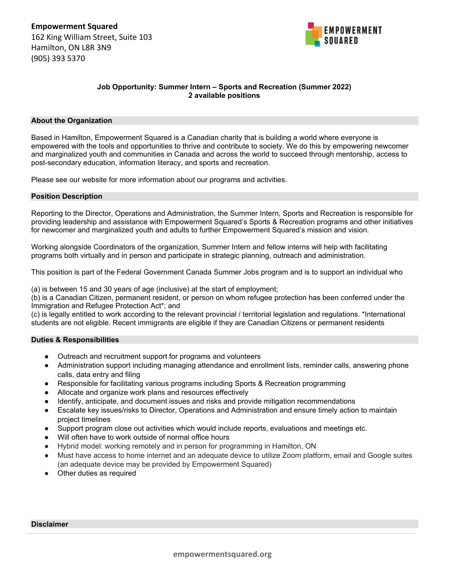

# **Job Opportunity: Summer Intern – Sports and Recreation (Summer 2022) 2 available positions**

### **About the Organization**

Based in Hamilton, Empowerment Squared is a Canadian charity that is building a world where everyone is empowered with the tools and opportunities to thrive and contribute to society. We do this by empowering newcomer and marginalized youth and communities in Canada and across the world to succeed through mentorship, access to post-secondary education, information literacy, and sports and recreation.

Please see our website for more information about our programs and activities.

### **Position Description**

Reporting to the Director, Operations and Administration, the Summer Intern, Sports and Recreation is responsible for providing leadership and assistance with Empowerment Squared's Sports & Recreation programs and other initiatives for newcomer and marginalized youth and adults to further Empowerment Squared's mission and vision.

Working alongside Coordinators of the organization, Summer Intern and fellow interns will help with facilitating programs both virtually and in person and participate in strategic planning, outreach and administration.

This position is part of the Federal Government Canada Summer Jobs program and is to support an individual who

(a) is between 15 and 30 years of age (inclusive) at the start of employment;

(b) is a Canadian Citizen, permanent resident, or person on whom refugee protection has been conferred under the Immigration and Refugee Protection Act\*; and

(c) is legally entitled to work according to the relevant provincial / territorial legislation and regulations. \*International students are not eligible. Recent immigrants are eligible if they are Canadian Citizens or permanent residents

# **Duties & Responsibilities**

- Outreach and recruitment support for programs and volunteers
- Administration support including managing attendance and enrollment lists, reminder calls, answering phone calls, data entry and filing
- Responsible for facilitating various programs including Sports & Recreation programming
- Allocate and organize work plans and resources effectively
- Identify, anticipate, and document issues and risks and provide mitigation recommendations
- Escalate key issues/risks to Director, Operations and Administration and ensure timely action to maintain project timelines
- Support program close out activities which would include reports, evaluations and meetings etc.
- Will often have to work outside of normal office hours
- Hybrid model: working remotely and in person for programming in Hamilton, ON
- Must have access to home internet and an adequate device to utilize Zoom platform, email and Google suites (an adequate device may be provided by Empowerment Squared)
- Other duties as required

# **Disclaimer**